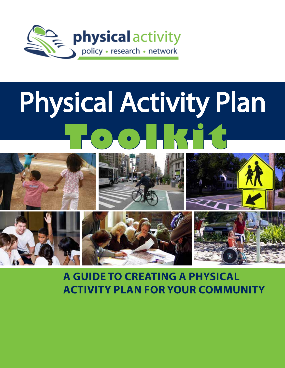

# Physical Activity Plan **Toolkit**



## **A guide to creating a Physical activity Plan for your Community**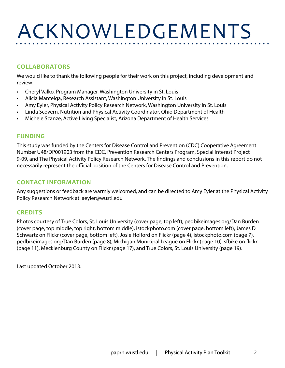# Acknowledgements

### **Collaborators**

We would like to thank the following people for their work on this project, including development and review:

- Cheryl Valko, Program Manager, Washington University in St. Louis
- Alicia Manteiga, Research Assistant, Washington University in St. Louis
- Amy Eyler, Physical Activity Policy Research Network, Washington University in St. Louis
- Linda Scovern, Nutrition and Physical Activity Coordinator, Ohio Department of Health
- Michele Scanze, Active Living Specialist, Arizona Department of Health Services

### **Funding**

This study was funded by the Centers for Disease Control and Prevention (CDC) Cooperative Agreement Number U48/DP001903 from the CDC, Prevention Research Centers Program, Special Interest Project 9-09, and The Physical Activity Policy Research Network. The findings and conclusions in this report do not necessarily represent the official position of the Centers for Disease Control and Prevention.

### **Contact Information**

Any suggestions or feedback are warmly welcomed, and can be directed to Amy Eyler at the Physical Activity Policy Research Network at: [aeyler@wustl.edu](mailto:aeyler@wustl.edu)

### **Credits**

Photos courtesy of True Colors, St. Louis University (cover page, top left), <pedbikeimages.org/Dan>Burden (cover page, top middle, top right, bottom middle),<istockphoto.com> (cover page, bottom left), James D. Schwartz on Flickr (cover page, bottom left), Josie Holford on Flickr (page 4), <istockphoto.com>(page 7), <pedbikeimages.org/Dan>Burden (page 8), Michigan Municipal League on Flickr (page 10), sfbike on flickr (page 11), Mecklenburg County on Flickr (page 17), and True Colors, St. Louis University (page 19).

Last updated October 2013.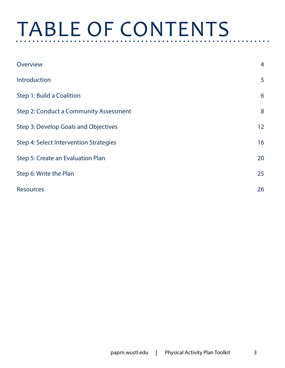# TABLE OF CONTENTS

| Overview                               | $\overline{4}$ |
|----------------------------------------|----------------|
| Introduction                           | 5              |
| Step 1: Build a Coalition              | 6              |
| Step 2: Conduct a Community Assessment | 8              |
| Step 3: Develop Goals and Objectives   | 12             |
| Step 4: Select Intervention Strategies | 16             |
| Step 5: Create an Evaluation Plan      | 20             |
| Step 6: Write the Plan                 | 25             |
| <b>Resources</b>                       | 26             |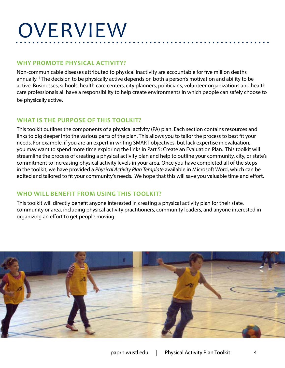# <span id="page-3-0"></span>**OVERVIEW**

### **Why Promote Physical Activity?**

Non-communicable diseases attributed to physical inactivity are accountable for five million deaths annually. 1 The decision to be physically active depends on both a person's motivation and ability to be active. Businesses, schools, health care centers, city planners, politicians, volunteer organizations and health care professionals all have a responsibility to help create environments in which people can safely choose to be physically active.

### **What is the Purpose of this Toolkit?**

This toolkit outlines the components of a physical activity (PA) plan. Each section contains resources and links to dig deeper into the various parts of the plan. This allows you to tailor the process to best fit your needs. For example, if you are an expert in writing SMART objectives, but lack expertise in evaluation, you may want to spend more time exploring the links in Part 5: Create an Evaluation Plan. This toolkit will streamline the process of creating a physical activity plan and help to outline your community, city, or state's commitment to increasing physical activity levels in your area. Once you have completed all of the steps in the toolkit, we have provided a *Physical Activity Plan Template* available in Microsoft Word, which can be edited and tailored to fit your community's needs. We hope that this will save you valuable time and effort.

### **Who Will Benefit from using this Toolkit?**

This toolkit will directly benefit anyone interested in creating a physical activity plan for their state, community or area, including physical activity practitioners, community leaders, and anyone interested in organizing an effort to get people moving.

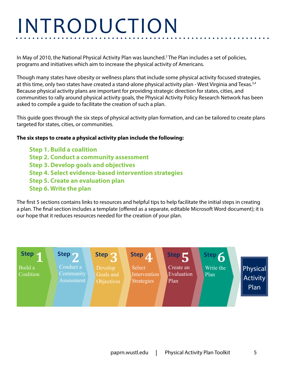# **INTRODUCTION**

In May of 2010, the National Physical Activity Plan was launched.<sup>2</sup> The Plan includes a set of policies, programs and initiatives which aim to increase the physical activity of Americans.

Though many states have obesity or wellness plans that include some physical activity focused strategies, at this time, only two states have created a stand-alone physical activity plan - West Virginia and Texas.<sup>3,4</sup> Because physical activity plans are important for providing strategic direction for states, cities, and communities to rally around physical activity goals, the Physical Activity Policy Research Network has been asked to compile a guide to facilitate the creation of such a plan.

This guide goes through the six steps of physical activity plan formation, and can be tailored to create plans targeted for states, cities, or communities.

### **The six steps to create a physical activity plan include the following:**

**Step 1. Build a coalition Step 2. Conduct a community assessment Step 3. Develop goals and objectives Step 4. Select evidence-based intervention strategies Step 5. Create an evaluation plan Step 6. Write the plan**

The first 5 sections contains links to resources and helpful tips to help facilitate the initial steps in creating a plan. The final section includes a template (offered as a separate, editable Microsoft Word document); it is our hope that it reduces resources needed for the creation of your plan.

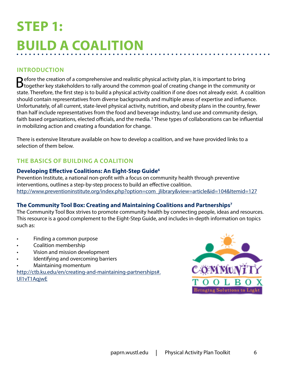## <span id="page-5-0"></span>**Step 1: Build a Coalition**

### **Introduction**

Before the creation of a comprehensive and realistic physical activity plan, it is important to bring<br> **B** together key stakeholders to rally around the common goal of creating change in the community or state. Therefore, the first step is to build a physical activity coalition if one does not already exist. A coalition should contain representatives from diverse backgrounds and multiple areas of expertise and influence. Unfortunately, of all current, state-level physical activity, nutrition, and obesity plans in the country, fewer than half include representatives from the food and beverage industry, land use and community design, faith based organizations, elected officials, and the media. 5 These types of collaborations can be influential in mobilizing action and creating a foundation for change.

There is extensive literature available on how to develop a coalition, and we have provided links to a selection of them below.

### **The Basics of Building a Coalition**

### **Developing Effective Coalitions: An Eight-Step Guide6**

Prevention Institute, a national non-profit with a focus on community health through preventive interventions, outlines a step-by-step process to build an effective coalition. [http://www.preventioninstitute.org/index.php?option=com\\_jlibrary&view=article&id=104&Itemid=127](http://www.preventioninstitute.org/index.php?option=com_jlibrary&view=article&id=104&Itemid=127)

### **The Community Tool Box: Creating and Maintaining Coalitions and Partnerships7**

The Community Tool Box strives to promote community health by connecting people, ideas and resources. This resource is a good complement to the Eight-Step Guide, and includes in-depth information on topics such as:

- Finding a common purpose
- Coalition membership
- Vision and mission development
- Identifying and overcoming barriers
- Maintaining momentum

[http://ctb.ku.edu/en/creating-and-maintaining-partnerships#.](http://ctb.ku.edu/en/creating-and-maintaining-partnerships#.Ul1vT1AqjwE) [Ul1vT1AqjwE](http://ctb.ku.edu/en/creating-and-maintaining-partnerships#.Ul1vT1AqjwE)

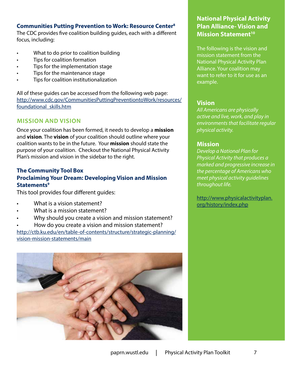### **Communities Putting Prevention to Work: Resource Center8**

The CDC provides five coalition building guides, each with a different focus, including:

- What to do prior to coalition building
- Tips for coalition formation
- Tips for the implementation stage
- Tips for the maintenance stage
- Tips for coalition institutionalization

All of these guides can be accessed from the following web page: [http://www.cdc.gov/CommunitiesPuttingPreventiontoWork/resources/](http://www.cdc.gov/CommunitiesPuttingPreventiontoWork/resources/foundational_skills.htm) [foundational\\_skills.htm](http://www.cdc.gov/CommunitiesPuttingPreventiontoWork/resources/foundational_skills.htm)

### **Mission and Vision**

Once your coalition has been formed, it needs to develop a **mission** and **vision**. The **vision** of your coalition should outline where your coalition wants to be in the future. Your **mission** should state the purpose of your coalition. Checkout the National Physical Activity Plan's mission and vision in the sidebar to the right.

### **The Community Tool Box Proclaiming Your Dream: Developing Vision and Mission Statements9**

This tool provides four different guides:

- What is a vision statement?
- What is a mission statement?
- Why should you create a vision and mission statement?
- How do you create a vision and mission statement?

[http://ctb.ku.edu/en/table-of-contents/structure/strategic-planning/](http://ctb.ku.edu/en/table-of-contents/structure/strategic-planning/vision-mission-statements/main) [vision-mission-statements/main](http://ctb.ku.edu/en/table-of-contents/structure/strategic-planning/vision-mission-statements/main)



### **National Physical Activity Plan Alliance- Vision and Mission Statement<sup>10</sup>**

The following is the vision and mission statement from the National Physical Activity Plan Alliance. Your coalition may want to refer to it for use as an example.

### **Vision**

*All Americans are physically active and live, work, and play in environments that facilitate regular physical activity.* 

### **Mission**

*Develop a National Plan for Physical Activity that produces a marked and progressive increase in the percentage of Americans who meet physical activity guidelines throughout life.* 

[http://www.physicalactivityplan.](http://www.physicalactivityplan.org/history/index.php) [org/history/index.php](http://www.physicalactivityplan.org/history/index.php)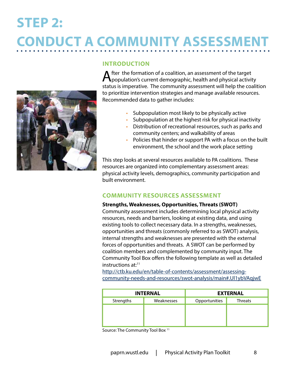# <span id="page-7-0"></span>**Step 2: Conduct a Community Assessment**



### **Introduction**

After the formation of a coalition, an assessment of the target<br>population's current demographic, health and physical activity status is imperative. The community assessment will help the coalition to prioritize intervention strategies and manage available resources. Recommended data to gather includes:

- Subpopulation most likely to be physically active
- Subpopulation at the highest risk for physical inactivity
- Distribution of recreational resources, such as parks and community centers; and walkability of areas
- Policies that hinder or support PA with a focus on the built environment, the school and the work place setting

This step looks at several resources available to PA coalitions. These resources are organized into complementary assessment areas: physical activity levels, demographics, community participation and built environment.

### **Community Resources Assessment**

### **[Strengths, Weaknesses, Opportunities, Threats \(SWOT\)](http://ctb.ku.edu/en/tablecontents/sub_section_main_1049.aspx)**

Community assessment includes determining local physical activity resources, needs and barriers, looking at existing data, and using existing tools to collect necessary data. In a strengths, weaknesses, opportunities and threats (commonly referred to as SWOT) analysis, internal strengths and weaknesses are presented with the external forces of opportunities and threats. A SWOT can be performed by coalition members and complemented by community input. The Community Tool Box offers the following template as well as detailed instructions  $at:^{11}$ 

[http://ctb.ku.edu/en/table-of-contents/assessment/assessing](http://ctb.ku.edu/en/table-of-contents/assessment/assessing-community-needs-and-resources/swot-analysis/main#.Ul1ybVAqjwE)[community-needs-and-resources/swot-analysis/main#.Ul1ybVAqjwE](http://ctb.ku.edu/en/table-of-contents/assessment/assessing-community-needs-and-resources/swot-analysis/main#.Ul1ybVAqjwE)

| <b>INTERNAL</b> |            | <b>EXTERNAL</b> |                |  |
|-----------------|------------|-----------------|----------------|--|
| Strengths       | Weaknesses | Opportunities   | <b>Threats</b> |  |
|                 |            |                 |                |  |
|                 |            |                 |                |  |
|                 |            |                 |                |  |

Source: The Community Tool Box<sup>11</sup>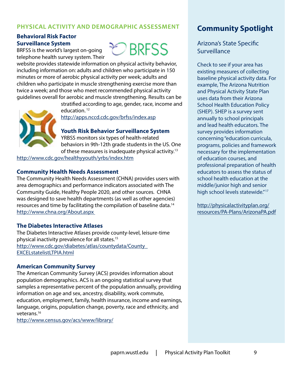### **Physical Activity and Demographic Assessment**

### **Behavioral Risk Factor Surveillance System**

BRFSS is the world's largest on-going telephone health survey system. Their



website provides statewide information on physical activity behavior, including information on: adults and children who participate in 150 minutes or more of aerobic physical activity per week; adults and children who participate in muscle strengthening exercise more than twice a week; and those who meet recommended physical activity guidelines overall for aerobic and muscle strengthening. Results can be



stratified according to age, gender, race, income and education. 12

<http://apps.nccd.cdc.gov/brfss/index.asp>

**Youth Risk Behavior Surveillance System** 

YRBSS monitors six types of health-related behaviors in 9th-12th grade students in the US. One of these measures is inadequate physical activity.<sup>13</sup>

<http://www.cdc.gov/healthyyouth/yrbs/index.htm>

### **Community Health Needs Assessment**

The Community Health Needs Assessment (CHNA) provides users with area demographics and performance indicators associated with The Community Guide, Healthy People 2020, and other sources. CHNA was designed to save health departments (as well as other agencies) resources and time by facilitating the compilation of baseline data.14 <http://www.chna.org/About.aspx>

### **The Diabetes Interactive Atlases**

The Diabetes Interactive Atlases provide county-level, leisure-time physical inactivity prevalence for all states.15 [http://www.cdc.gov/diabetes/atlas/countydata/County\\_](http://www.cdc.gov/diabetes/atlas/countydata/County_EXCELstatelistLTPIA.html) [EXCELstatelistLTPIA.html](http://www.cdc.gov/diabetes/atlas/countydata/County_EXCELstatelistLTPIA.html)

#### **American Community Survey**

The American Community Survey (ACS) provides information about population demographics. ACS is an ongoing statistical survey that samples a representative percent of the population annually, providing information on age and sex, ancestry, disability, work commute, education, employment, family, health insurance, income and earnings, language, origins, population change, poverty, race and ethnicity, and veterans.16

<http://www.census.gov/acs/www/library/>

### **Community Spotlight**

Arizona's State Specific Surveillance

Check to see if your area has existing measures of collecting baseline physical activity data. For example, The Arizona Nutrition and Physical Activity State Plan uses data from their Arizona School Health Education Policy (SHEP). SHEP is a survey sent annually to school principals and lead health educators. The survey provides information concerning "education curricula, programs, policies and framework necessary for the implementation of education courses, and professional preparation of health educators to assess the status of school health education at the middle/junior high and senior high school levels statewide."<sup>17</sup>

[http://physicalactivityplan.org/](http://physicalactivityplan.org/resources/PA-Plans/ArizonaPA.pdf) [resources/PA-Plans/ArizonaPA.pdf](http://physicalactivityplan.org/resources/PA-Plans/ArizonaPA.pdf)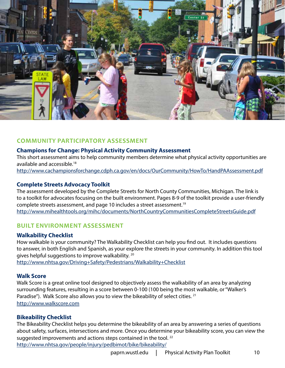

### **Community Participatory Assessment**

### **Champions for Change: Physical Activity Community Assessment**

This short assessment aims to help community members determine what physical activity opportunities are available and accessible.18

<http://www.cachampionsforchange.cdph.ca.gov/en/docs/OurCommunity/HowTo/HandPAAssessment.pdf>

### **Complete Streets Advocacy Toolki[t](http://www.mihealthtools.org/mihc/documents/NorthCountryCommunitiesCompleteStreetsGuide.pdf)**

The assessment developed by the Complete Streets for North County Communities, Michigan. The link is to a toolkit for advocates focusing on the built environment. Pages 8-9 of the toolkit provide a user-friendly complete streets assessment, and page 10 includes a street assessment.<sup>19</sup> <http://www.mihealthtools.org/mihc/documents/NorthCountryCommunitiesCompleteStreetsGuide.pdf>

### **Built environment Assessment**

### **Walkability Checklist**

How walkable is your community? The Walkability Checklist can help you find out. It includes questions to answer, in both English and Spanish, as your explore the streets in your community. In addition this tool gives helpful suggestions to improve walkability. 20 [http://www.nhtsa.gov/Driving+](http://www.nhtsa.gov/Driving)Safety/Pedestrians/Walkability+Checklist

### **Walk Score**

Walk Score is a great online tool designed to objectively assess the walkability of an area by analyzing surrounding features, resulting in a score between 0-100 (100 being the most walkable, or "Walker's Paradise"). Walk Score also allows you to view the bikeability of select cities. <sup>21</sup> <http://www.walkscore.com>

### **Bikeability Checklist**

The Bikeability Checklist helps you determine the bikeability of an area by answering a series of questions about safety, surfaces, intersections and more. Once you determine your bikeability score, you can view the suggested improvements and actions steps contained in the tool.<sup>22</sup>

<http://www.nhtsa.gov/people/injury/pedbimot/bike/bikeability/>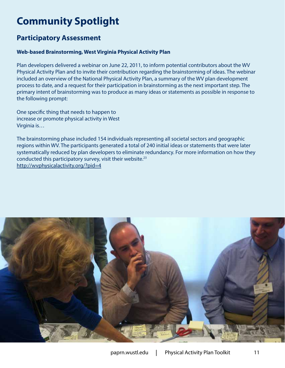## **Community Spotlight**

### **Participatory Assessment**

### **Web-based Brainstorming, West Virginia Physical Activity Plan**

Plan developers delivered a webinar on June 22, 2011, to inform potential contributors about the WV Physical Activity Plan and to invite their contribution regarding the brainstorming of ideas. The webinar included an overview of the National Physical Activity Plan, a summary of the WV plan development process to date, and a request for their participation in brainstorming as the next important step. The primary intent of brainstorming was to produce as many ideas or statements as possible in response to the following prompt:

One specific thing that needs to happen to increase or promote physical activity in West Virginia is…

The brainstorming phase included 154 individuals representing all societal sectors and geographic regions within WV. The participants generated a total of 240 initial ideas or statements that were later systematically reduced by plan developers to eliminate redundancy. For more information on how they conducted this participatory survey, visit their website.23 <http://wvphysicalactivity.org/?pid=4>

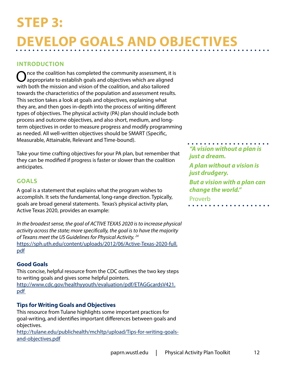## <span id="page-11-0"></span>**Step 3: Develop Goals and Objectives**

### **Introduction**

Once the coalition has completed the community assessment, it is appropriate to establish goals and objectives which are aligned with both the mission and vision of the coalition, and also tailored towards the characteristics of the population and assessment results. This section takes a look at goals and objectives, explaining what they are, and then goes in-depth into the process of writing different types of objectives. The physical activity (PA) plan should include both process and outcome objectives, and also short, medium, and longterm objectives in order to measure progress and modify programming as needed. All well-written objectives should be SMART (Specific, Measurable, Attainable, Relevant and Time-bound).

Take your time crafting objectives for your PA plan, but remember that they can be modified if progress is faster or slower than the coalition anticipates.

### **Goals**

A goal is a statement that explains what the program wishes to accomplish. It sets the fundamental, long-range direction. Typically, goals are broad general statements. Texas's physical activity plan, Active Texas 2020, provides an example:

*In the broadest sense, the goal of ACTIVE TEXAS 2020 is to increase physical activity across the state; more specifically, the goal is to have the majority of Texans meet the US Guidelines for Physical Activity. 24* [https://sph.uth.edu/content/uploads/2012/06/Active-Texas-2020-full.](https://sph.uth.edu/content/uploads/2012/06/Active-Texas-2020-full.pdf) [pdf](https://sph.uth.edu/content/uploads/2012/06/Active-Texas-2020-full.pdf)

### **Good Goals**

This concise, helpful resource from the CDC outlines the two key steps to writing goals and gives some helpful pointers. [http://www.cdc.gov/healthyyouth/evaluation/pdf/ETAGGcardsV421.](http://www.cdc.gov/healthyyouth/evaluation/pdf/ETAGGcardsV421.pdf) [pdf](http://www.cdc.gov/healthyyouth/evaluation/pdf/ETAGGcardsV421.pdf) 

### **Tips for Writing Goals and Objectives**

This resource from Tulane highlights some important practices for goal-writing, and identifies important differences between goals and objectives.

[http://tulane.edu/publichealth/mchltp/upload/Tips-for-writing-goals](http://tulane.edu/publichealth/mchltp/upload/Tips-for-writing-goals-and-objectives.pdf)[and-objectives.pdf](http://tulane.edu/publichealth/mchltp/upload/Tips-for-writing-goals-and-objectives.pdf)

*"A vision without a plan is just a dream. A plan without a vision is just drudgery. But a vision with a plan can change the world."* Proverb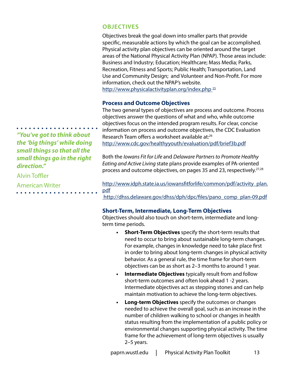### **Objectives**

Objectives break the goal down into smaller parts that provide specific, measurable actions by which the goal can be accomplished. Physical activity plan objectives can be oriented around the target areas of the National Physical Activity Plan (NPAP). Those areas include: Business and Industry; Education; Healthcare; Mass Media; Parks, Recreation, Fitness and Sports; Public Health; Transportation, Land Use and Community Design; and Volunteer and Non-Profit. For more information, check out the NPAP's website. <http://www.physicalactivityplan.org/index.php><sup>25</sup>

### **Process and Outcome Objectives**

The two general types of objectives are process and outcome. Process objectives answer the questions of what and who, while outcome objectives focus on the intended program results. For clear, concise information on process and outcome objectives, the CDC Evaluation Research Team offers a worksheet available at:<sup>26</sup> <http://www.cdc.gov/healthyyouth/evaluation/pdf/brief3b.pdf>

Both the *Iowans Fit for Life* and *Delaware Partners to Promote Healthy Eating and Active Living* state plans provide examples of PA-oriented process and outcome objectives, on pages 35 and 23, respectively.<sup>27,28</sup>

[http://www.idph.state.ia.us/iowansfitforlife/common/pdf/activity\\_plan.](http://www.idph.state.ia.us/iowansfitforlife/common/pdf/activity_plan.pdf) [pdf](http://www.idph.state.ia.us/iowansfitforlife/common/pdf/activity_plan.pdf)

[http://dhss.delaware.gov/dhss/dph/dpc/files/pano\\_comp\\_plan-09.pdf](http://dhss.delaware.gov/dhss/dph/dpc/files/pano_comp_plan-09.pdf)

### **Short-Term, Intermediate, Long-Term Objectives**

Objectives should also touch on short-term, intermediate and longterm time periods.

- **• Short-Term Objectives** specify the short-term results that need to occur to bring about sustainable long-term changes. For example, changes in knowledge need to take place first in order to bring about long-term changes in physical activity behavior. As a general rule, the time frame for short-term objectives can be as short as 2–3 months to around 1 year.
- **• Intermediate Objectives** typically result from and follow short-term outcomes and often look ahead 1 -2 years. Intermediate objectives act as stepping stones and can help maintain motivation to achieve the long-term objectives.
- **• Long-term Objectives** specify the outcomes or changes needed to achieve the overall goal, such as an increase in the number of children walking to school or changes in health status resulting from the implementation of a public policy or environmental changes supporting physical activity. The time frame for the achievement of long-term objectives is usually 2–5 years.

*"You've got to think about the 'big things' while doing small things so that all the small things go in the right direction."*

Alvin Toffler American Writer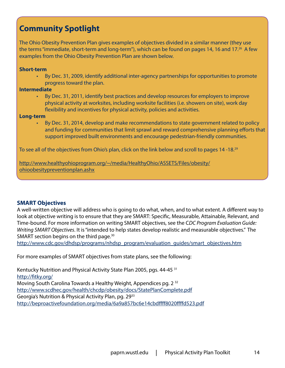### **Community Spotlight**

The Ohio Obesity Prevention Plan gives examples of objectives divided in a similar manner (they use the terms "immediate, short-term and long-term"), which can be found on pages 14, 16 and 17.<sup>26</sup> A few examples from the Ohio Obesity Prevention Plan are shown below.

#### **Short-term**

• By Dec. 31, 2009, identify additional inter-agency partnerships for opportunities to promote progress toward the plan.

#### **Intermediate**

• By Dec. 31, 2011, identify best practices and develop resources for employers to improve physical activity at worksites, including worksite facilities (i.e. showers on site), work day flexibility and incentives for physical activity, policies and activities.

### **Long-term**

• By Dec. 31, 2014, develop and make recommendations to state government related to policy and funding for communities that limit sprawl and reward comprehensive planning efforts that support improved built environments and encourage pedestrian-friendly communities.

To see all of the objectives from Ohio's plan, click on the link below and scroll to pages 14 -18.<sup>29</sup>

[http://www.healthyohioprogram.org/~/media/HealthyOhio/ASSETS/Files/obesity/](http://www.healthyohioprogram.org/~/media/HealthyOhio/ASSETS/Files/obesity/ohioobesitypreventionplan.ashx) [ohioobesitypreventionplan.ashx](http://www.healthyohioprogram.org/~/media/HealthyOhio/ASSETS/Files/obesity/ohioobesitypreventionplan.ashx)

### **SMART Objectives**

A well-written objective will address who is going to do what, when, and to what extent. A different way to look at objective writing is to ensure that they are SMART: Specific, Measurable, Attainable, Relevant, and Time-bound. For more information on writing SMART objectives, see the C*DC Program Evaluation Guide: Writing SMART Objectives*. It is "intended to help states develop realistic and measurable objectives." The SMART section begins on the third page.<sup>30</sup>

[http://www.cdc.gov/dhdsp/programs/nhdsp\\_program/evaluation\\_guides/smart\\_objectives.htm](http://www.cdc.gov/dhdsp/programs/nhdsp_program/evaluation_guides/smart_objectives.htm)

For more examples of SMART objectives from state plans, see the following:

Kentucky Nutrition and Physical Activity State Plan 2005, pgs. 44-45<sup>31</sup> <http://fitky.org/> Moving South Carolina Towards a Healthy Weight, Appendices pg. 2<sup>32</sup> <http://www.scdhec.gov/health/chcdp/obesity/docs/StatePlanComplete.pdf> Georgia's Nutrition & Physical Activity Plan, pg. 29<sup>33</sup> <http://beproactivefoundation.org/media/6a9a857bc6e14cbdffff8020ffffd523.pdf>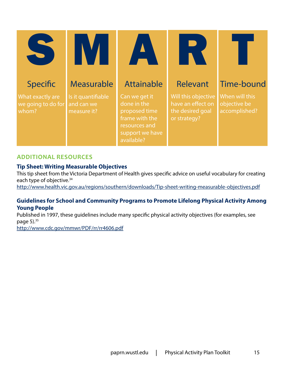| Specific                                        | <b>Measurable</b>                               | <b>Attainable</b>                                                                                                 | Relevant                                                                     | Time-bound                                      |
|-------------------------------------------------|-------------------------------------------------|-------------------------------------------------------------------------------------------------------------------|------------------------------------------------------------------------------|-------------------------------------------------|
| What exactly are<br>we going to do for<br>whom? | Is it quantifiable<br>and can we<br>measure it? | Can we get it<br>done in the<br>proposed time<br>frame with the<br>resources and<br>support we have<br>available? | Will this objective<br>have an effect on<br>the desired goal<br>or strategy? | When will this<br>objective be<br>accomplished? |

### **Additional Resources**

### **Tip Sheet: Writing Measurable Objectives**

This tip sheet from the Victoria Department of Health gives specific advice on useful vocabulary for creating each type of objective.<sup>34</sup>

<http://www.health.vic.gov.au/regions/southern/downloads/Tip-sheet-writing-measurable-objectives.pdf>

### **Guidelines for School and Community Programs to Promote Lifelong Physical Activity Among Young People**

Published in 1997, these guidelines include many specific physical activity objectives (for examples, see page  $5$ ). $35$ 

<http://www.cdc.gov/mmwr/PDF/rr/rr4606.pdf>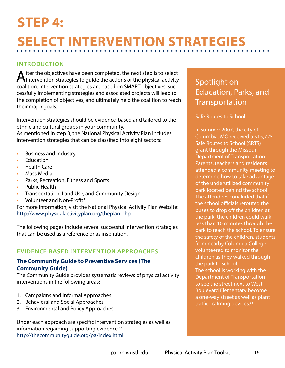# <span id="page-15-0"></span>**Step 4: Select Intervention Strategies**

### **Introduction**

After the objectives have been completed, the next step is to select<br>
intervention strategies to guide the actions of the physical activity coalition. Intervention strategies are based on SMART objectives; successfully implementing strategies and associated projects will lead to the completion of objectives, and ultimately help the coalition to reach their major goals.

Intervention strategies should be evidence-based and tailored to the ethnic and cultural groups in your community.

As mentioned in step 3, the National Physical Activity Plan includes intervention strategies that can be classified into eight sectors:

- Business and Industry
- **Education**
- Health Care
- Mass Media
- Parks, Recreation, Fitness and Sports
- Public Health
- Transportation, Land Use, and Community Design
- Volunteer and Non-Profit<sup>36</sup>

For more information, visit the National Physical Activity Plan Website: <http://www.physicalactivityplan.org/theplan.php>

The following pages include several successful intervention strategies that can be used as a reference or as inspiration.

### **Evidence-Based Intervention Approaches**

### **The Community Guide to Preventive Services (The Community Guide)**

The Community Guide provides systematic reviews of physical activity interventions in the following areas:

- 1. Campaigns and Informal Approaches
- 2. Behavioral and Social Approaches
- 3. Environmental and Policy Approaches

Under each approach are specific intervention strategies as well as information regarding supporting evidence.<sup>37</sup> <http://thecommunityguide.org/pa/index.html>

### Spotlight on Education, Parks, and **Transportation**

Safe Routes to School

In summer 2007, the city of Columbia, MO received a \$15,725 Safe Routes to School (SRTS) grant through the Missouri Department of Transportation. Parents, teachers and residents attended a community meeting to determine how to take advantage of the underutilized community park located behind the school. The attendees concluded that if the school officials rerouted the buses to drop off the children at the park, the children could walk less than 10 minutes through the park to reach the school. To ensure the safety of the children, students from nearby Columbia College volunteered to monitor the children as they walked through the park to school. The school is working with the Department of Transportation to see the street next to West Boulevard Elementary become a one-way street as well as plant traffic- calming devices.<sup>38</sup>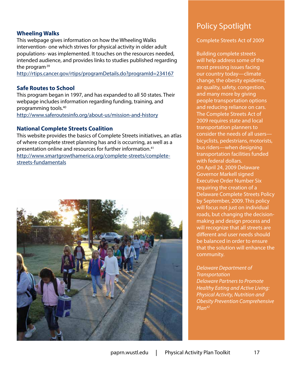### **Wheeling Walks**

This webpage gives information on how the Wheeling Walks intervention- one which strives for physical activity in older adult populations- was implemented. It touches on the resources needed, intended audience, and provides links to studies published regarding the program.<sup>39</sup>

<http://rtips.cancer.gov/rtips/programDetails.do?programId=234167>

### **Safe Routes to School**

This program began in 1997, and has expanded to all 50 states. Their webpage includes information regarding funding, training, and programming tools.40

<http://www.saferoutesinfo.org/about-us/mission-and-history>

### **National Complete Streets Coalition**

This website provides the basics of Complete Streets initiatives, an atlas of where complete street planning has and is occurring, as well as a presentation online and resources for further information.41 [http://www.smartgrowthamerica.org/complete-streets/complete](http://www.smartgrowthamerica.org/complete-streets/complete-streets-fundamentals)[streets-fundamentals](http://www.smartgrowthamerica.org/complete-streets/complete-streets-fundamentals)



### Policy Spotlight

### Complete Streets Act of 2009

Building complete streets will help address some of the most pressing issues facing our country today—climate change, the obesity epidemic, air quality, safety, congestion, and many more by giving people transportation options and reducing reliance on cars. The Complete Streets Act of 2009 requires state and local transportation planners to consider the needs of all users bicyclists, pedestrians, motorists, bus riders—when designing transportation facilities funded with federal dollars. On April 24, 2009 Delaware Governor Markell signed Executive Order Number Six requiring the creation of a Delaware Complete Streets Policy by September, 2009. This policy will focus not just on individual roads, but changing the decisionmaking and design process and will recognize that all streets are different and user needs should be balanced in order to ensure that the solution will enhance the community.

*Delaware Department of Transportation Delaware Partners to Promote Healthy Eating and Active Living: Physical Activity, Nutrition and Obesity Prevention Comprehensive Plan42*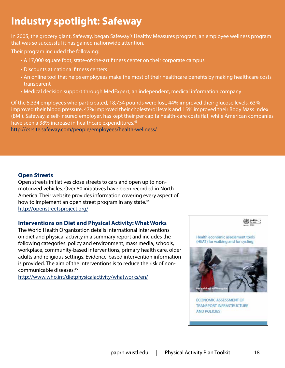### **Industry spotlight: Safeway**

In 2005, the grocery giant, Safeway, began Safeway's Healthy Measures program, an employee wellness program that was so successful it has gained nationwide attention.

Their program included the following:

- A 17,000 square foot, state-of-the-art fitness center on their corporate campus
- Discounts at national fitness centers
- An online tool that helps employees make the most of their healthcare benefits by making healthcare costs transparent
- Medical decision support through MedExpert, an independent, medical information company

Of the 5,334 employees who participated, 18,734 pounds were lost, 44% improved their glucose levels, 63% improved their blood pressure, 47% improved their cholesterol levels and 15% improved their Body Mass Index (BMI). Safeway, a self-insured employer, has kept their per capita health-care costs flat, while American companies have seen a 38% increase in healthcare expenditures.<sup>43</sup>

<http://csrsite.safeway.com/people/employees/health-wellness/>

### **Open Streets**

Open streets initiatives close streets to cars and open up to nonmotorized vehicles. Over 80 initiatives have been recorded in North America. Their website provides information covering every aspect of how to implement an open street program in any state.<sup>44</sup> <http://openstreetsproject.org/>

### **Interventions on Diet and Physical Activity: What Works**

The World Health Organization details international interventions on diet and physical activity in a summary report and includes the following categories: policy and environment, mass media, schools, workplace, community-based interventions, primary health care, older adults and religious settings. Evidence-based intervention information is provided. The aim of the interventions is to reduce the risk of noncommunicable diseases.45

<http://www.who.int/dietphysicalactivity/whatworks/en/>

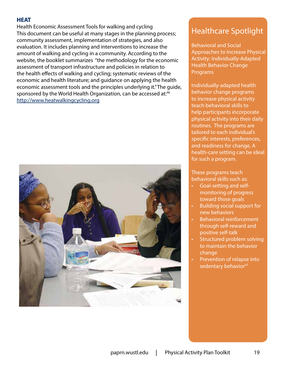### **[HEAT](http://www.euro.who.int/en/what-we-do/health-topics/environment-and-health/Transport-and-health/activities/promotion-of-safe-walking-and-cycling-in-urban-areas/quantifying-the-positive-health-effects-of-cycling-and-walking/health-economic-assessment-tool-heat-for-cycling-and-walking)**

Health Economic Assessment Tools for walking and cycling This document can be useful at many stages in the planning process; community assessment, implementation of strategies, and also evaluation. It includes planning and interventions to increase the amount of walking and cycling in a community. According to the website, the booklet summarizes "the methodology for the economic assessment of transport infrastructure and policies in relation to the health effects of walking and cycling; systematic reviews of the economic and health literature; and guidance on applying the health economic assessment tools and the principles underlying it." The guide, sponsored by the World Health Organization, can be accessed at:<sup>46</sup> <http://www.heatwalkingcycling.org>



### Healthcare Spotlight

Behavioral and Social Approaches to Increase Physical Activity: Individually-Adapted Health Behavior Change **Programs** 

Individually-adapted health behavior change programs to increase physical activity teach behavioral skills to help participants incorporate physical activity into their daily routines. The programs are tailored to each individual's specific interests, preferences, and readiness for change. A health-care setting can be ideal for such a program.

These programs teach behavioral skills such as:

- Goal-setting and selfmonitoring of progress toward those goals
- Building social support for new behaviors
- Behavioral reinforcement through self-reward and positive self-talk
- Structured problem solving to maintain the behavior change
- Prevention of relapse into sedentary behavior<sup>47</sup>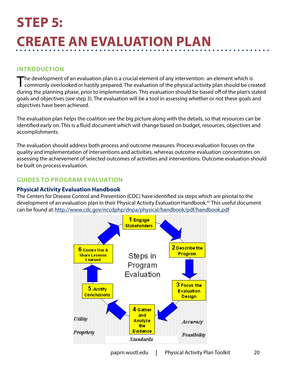## <span id="page-19-0"></span>**Step 5: Create an Evaluation Plan**

### **Introduction**

The development of an evaluation plan is a crucial element of any intervention- an element which is<br>commonly overlooked or hastily prepared. The evaluation of the physical activity plan should be created during the planning phase, prior to implementation. This evaluation should be based off of the plan's stated goals and objectives (see step 3). The evaluation will be a tool in assessing whether or not these goals and objectives have been achieved.

The evaluation plan helps the coalition see the big picture along with the details, so that resources can be identified early on. This is a fluid document which will change based on budget, resources, objectives and accomplishments.

The evaluation should address both process and outcome measures. Process evaluation focuses on the quality and implementation of interventions and activities, whereas outcome evaluation concentrates on assessing the achievement of selected outcomes of activities and interventions. Outcome evaluation should be built on process evaluation.

### **Guides to Program Evaluation**

### **Physical Activity Evaluation Handbook**

The Centers for Disease Control and Prevention (CDC) have identified six steps which are pivotal to the development of an evaluation plan in their Physical Activity Evaluation Handbook.47 This useful document can be found at:<http://www.cdc.gov/nccdphp/dnpa/physical/handbook/pdf/handbook.pdf>

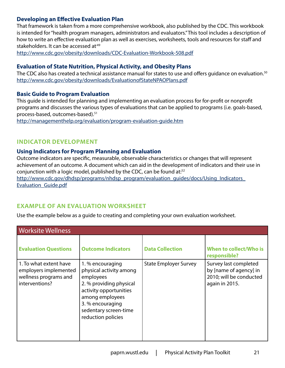### **Developing an Effective Evaluation Plan**

That framework is taken from a more comprehensive workbook, also published by the CDC. This workbook is intended for "health program managers, administrators and evaluators." This tool includes a description of how to write an effective evaluation plan as well as exercises, worksheets, tools and resources for staff and stakeholders. It can be accessed at:49

<http://www.cdc.gov/obesity/downloads/CDC-Evaluation-Workbook-508.pdf>

### **Evaluation of State Nutrition, Physical Activity, and Obesity Plans**

The CDC also has created a technical assistance manual for states to use and offers quidance on evaluation.<sup>50</sup> <http://www.cdc.gov/obesity/downloads/EvaluationofStateNPAOPlans.pdf>

### **Basic Guide to Program Evaluation**

This guide is intended for planning and implementing an evaluation process for for-profit or nonprofit programs and discusses the various types of evaluations that can be applied to programs (i.e. goals-based, process-based, outcomes-based).51

<http://managementhelp.org/evaluation/program-evaluation-guide.htm>

### **Indicator development**

### **Using Indicators for Program Planning and Evaluation**

Outcome indicators are specific, measurable, observable characteristics or changes that will represent achievement of an outcome. A document which can aid in the development of indicators and their use in conjunction with a logic model, published by the CDC, can be found at:<sup>52</sup>

[http://www.cdc.gov/dhdsp/programs/nhdsp\\_program/evaluation\\_guides/docs/Using\\_Indicators\\_](http://www.cdc.gov/dhdsp/programs/nhdsp_program/evaluation_guides/docs/Using_Indicators_Evaluation_Guide.pdf) [Evaluation\\_Guide.pdf](http://www.cdc.gov/dhdsp/programs/nhdsp_program/evaluation_guides/docs/Using_Indicators_Evaluation_Guide.pdf)

### **Example of an Evaluation Worksheet**

Use the example below as a guide to creating and completing your own evaluation worksheet.

| <b>Worksite Wellness</b>                                                                   |                                                                                                                                                                                                     |                              |                                                                                              |  |  |  |
|--------------------------------------------------------------------------------------------|-----------------------------------------------------------------------------------------------------------------------------------------------------------------------------------------------------|------------------------------|----------------------------------------------------------------------------------------------|--|--|--|
| <b>Evaluation Questions</b>                                                                | <b>Outcome Indicators</b>                                                                                                                                                                           | <b>Data Collection</b>       | When to collect/Who is<br>responsible?                                                       |  |  |  |
| 1. To what extent have<br>employers implemented<br>wellness programs and<br>interventions? | 1. % encouraging<br>physical activity among<br>employees<br>2. % providing physical<br>activity opportunities<br>among employees<br>3. % encouraging<br>sedentary screen-time<br>reduction policies | <b>State Employer Survey</b> | Survey last completed<br>by [name of agency] in<br>2010; will be conducted<br>again in 2015. |  |  |  |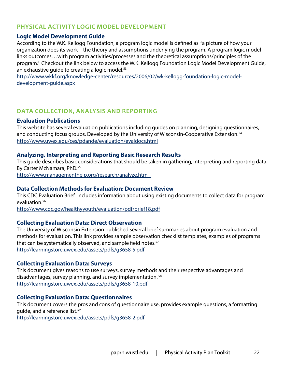### **Physical Activity Logic Model Development**

### **Logic Model Development Guide**

According to the W.K. Kellogg Foundation, a program logic model is defined as "a picture of how your organization does its work – the theory and assumptions underlying the program. A program logic model links outcomes. . .with program activities/processes and the theoretical assumptions/principles of the program." Checkout the link below to access the W.K. Kellogg Foundation Logic Model Development Guide, an exhaustive quide to creating a logic model.<sup>53</sup>

[http://www.wkkf.org/knowledge-center/resources/2006/02/wk-kellogg-foundation-logic-model](http://www.wkkf.org/knowledge-center/resources/2006/02/wk-kellogg-foundation-logic-model-development-guide.aspx)[development-guide.aspx](http://www.wkkf.org/knowledge-center/resources/2006/02/wk-kellogg-foundation-logic-model-development-guide.aspx)

### **Data Collection, Analysis and Reporting**

### **Evaluation Publications**

This website has several evaluation publications including guides on planning, designing questionnaires, and conducting focus groups. Developed by the University of Wisconsin-Cooperative Extension.<sup>54</sup> <http://www.uwex.edu/ces/pdande/evaluation/evaldocs.html>

### **Analyzing, Interpreting and Reporting Basic Research Results**

This guide describes basic considerations that should be taken in gathering, interpreting and reporting data. By Carter McNamara, PhD.55

<http://www.managementhelp.org/research/analyze.htm>

### **Data Collection Methods for Evaluation: Document Review**

This CDC Evaluation Brief includes information about using existing documents to collect data for program evaluation.56

<http://www.cdc.gov/healthyyouth/evaluation/pdf/brief18.pdf>

### **Collecting Evaluation Data: Direct Observation**

The University of Wisconsin Extension published several brief summaries about program evaluation and methods for evaluation. This link provides sample observation checklist templates, examples of programs that can be systematically observed, and sample field notes.<sup>57</sup> <http://learningstore.uwex.edu/assets/pdfs/g3658-5.pdf>

### **Collecting Evaluation Data: Surveys**

This document gives reasons to use surveys, survey methods and their respective advantages and disadvantages, survey planning, and survey implementation.<sup>58</sup> <http://learningstore.uwex.edu/assets/pdfs/g3658-10.pdf>

### **Collecting Evaluation Data: Questionnaires**

This document covers the pros and cons of questionnaire use, provides example questions, a formatting guide, and a reference list.59

<http://learningstore.uwex.edu/assets/pdfs/g3658-2.pdf>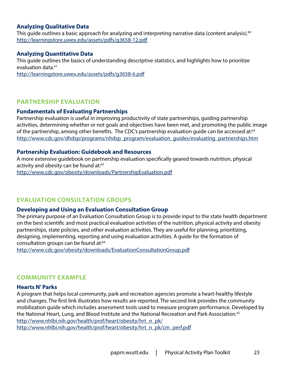### **Analyzing Qualitative Data**

This guide outlines a basic approach for analyzing and interpreting narrative data (content analysis).<sup>60</sup> <http://learningstore.uwex.edu/assets/pdfs/g3658-12.pdf>

### **Analyzing Quantitative Data**

This guide outlines the basics of understanding descriptive statistics, and highlights how to prioritize evaluation data.<sup>61</sup>

<http://learningstore.uwex.edu/assets/pdfs/g3658-6.pdf>

### **Partnership Evaluation**

### **Fundamentals of Evaluating Partnerships**

Partnership evaluation is useful in improving productivity of state partnerships, guiding partnership activities, determining whether or not goals and objectives have been met, and promoting the public image of the partnership, among other benefits. The CDC's partnership evaluation guide can be accessed at:<sup>62</sup> [http://www.cdc.gov/dhdsp/programs/nhdsp\\_program/evaluation\\_guides/evaluating\\_partnerships.htm](http://www.cdc.gov/dhdsp/programs/nhdsp_program/evaluation_guides/evaluating_partnerships.htm)

#### **Partnership Evaluation: Guidebook and Resources**

A more extensive guidebook on partnership evaluation specifically geared towards nutrition, physical activity and obesity can be found at:<sup>63</sup> <http://www.cdc.gov/obesity/downloads/PartnershipEvaluation.pdf>

### **Evaluation Consultation Groups**

#### **Developing and Using an Evaluation Consultation Group**

The primary purpose of an Evaluation Consultation Group is to provide input to the state health department on the best scientific and most practical evaluation activities of the nutrition, physical activity and obesity partnerships, state policies, and other evaluation activities. They are useful for planning, prioritizing, designing, implementing, reporting and using evaluation activities. A guide for the formation of consultation groups can be found at:<sup>64</sup>

<http://www.cdc.gov/obesity/downloads/EvaluationConsultationGroup.pdf>

### **Community Example**

#### **Hearts N' Parks**

A program that helps local community, park and recreation agencies promote a heart-healthy lifestyle and changes. The first link illustrates how results are reported. The second link provides the community mobilization guide which includes assessment tools used to measure program performance. Developed by the National Heart, Lung, and Blood Institute and the National Recreation and Park Association.<sup>65</sup> [http://www.nhlbi.nih.gov/health/prof/heart/obesity/hrt\\_n\\_pk/](http://www.nhlbi.nih.gov/health/prof/heart/obesity/hrt_n_pk/) [http://www.nhlbi.nih.gov/health/prof/heart/obesity/hrt\\_n\\_pk/cm\\_perf.pdf](http://www.nhlbi.nih.gov/health/prof/heart/obesity/hrt_n_pk/cm_perf.pdf)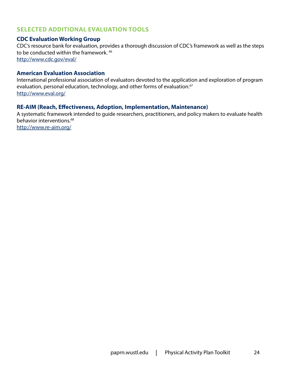### **Selected additional evaluation tools**

### **CDC Evaluation Working Group**

CDC's resource bank for evaluation, provides a thorough discussion of CDC's framework as well as the steps to be conducted within the framework. <sup>66</sup> <http://www.cdc.gov/eval/>

### **American Evaluation Association**

International professional association of evaluators devoted to the application and exploration of program evaluation, personal education, technology, and other forms of evaluation.<sup>67</sup> <http://www.eval.org/>

### **RE-AIM (Reach, Effectiveness, Adoption, Implementation, Maintenance)**

A systematic framework intended to guide researchers, practitioners, and policy makers to evaluate health behavior interventions.<sup>68</sup> <http://www.re-aim.org/>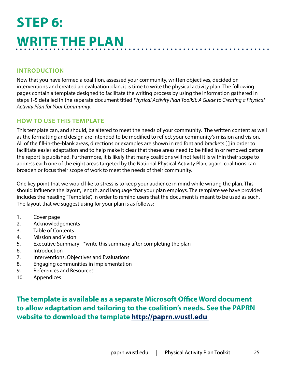## <span id="page-24-0"></span>**Step 6: Write the Plan**

### **Introduction**

Now that you have formed a coalition, assessed your community, written objectives, decided on interventions and created an evaluation plan, it is time to write the physical activity plan. The following pages contain a template designed to facilitate the writing process by using the information gathered in steps 1-5 detailed in the separate document titled *Physical Activity Plan Toolkit: A Guide to Creating a Physical Activity Plan for Your Community*.

### **HOW TO USE THIS TEMPLATE**

This template can, and should, be altered to meet the needs of your community. The written content as well as the formatting and design are intended to be modified to reflect your community's mission and vision. All of the fill-in-the-blank areas, directions or examples are shown in red font and brackets [ ] in order to facilitate easier adaptation and to help make it clear that these areas need to be filled in or removed before the report is published. Furthermore, it is likely that many coalitions will not feel it is within their scope to address each one of the eight areas targeted by the National Physical Activity Plan; again, coalitions can broaden or focus their scope of work to meet the needs of their community.

One key point that we would like to stress is to keep your audience in mind while writing the plan. This should influence the layout, length, and language that your plan employs. The template we have provided includes the heading "Template", in order to remind users that the document is meant to be used as such. The layout that we suggest using for your plan is as follows:

- 1. Cover page
- 2. Acknowledgements
- 3. Table of Contents
- 4. Mission and Vision
- 5. Executive Summary \*write this summary after completing the plan
- 6. Introduction
- 7. Interventions, Objectives and Evaluations
- 8. Engaging communities in implementation
- 9. References and Resources
- 10. Appendices

**The template is available as a separate Microsoft Office Word document to allow adaptation and tailoring to the coalition's needs. See the PAPRN website to download the template [http://paprn.wustl.edu](http://paprn.wustl.edu 
)**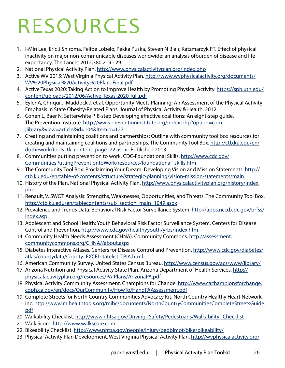# <span id="page-25-0"></span>Resources

- 1. I-Min Lee, Eric J Shiroma, Felipe Lobelo, Pekka Puska, Steven N Blair, Katzmarzyk PT. Effect of physical inactivity on major non-communicable diseases worldwide: an analysis ofburden of disease and life expectancy. The Lancet 2012;380 219 - 29.
- 2. National Physical Activity Plan. [http://www.physicalactivityplan.org/index.php](http://www.re-aim.org/)
- 3. Active WV 2015: West Virginia Physical Activity Plan. [http://www.wvphysicalactivity.org/documents/](http://www.wvphysicalactivity.org/documents/WV%20Physical%20Activity%20Plan_Final.pdf) [WV%20Physical%20Activity%20Plan\\_Final.pdf](http://www.wvphysicalactivity.org/documents/WV%20Physical%20Activity%20Plan_Final.pdf)
- 4. Active Texas 2020: Taking Action to Improve Health by Promoting Physical Activity. [https://sph.uth.edu/](https://sph.uth.edu/content/uploads/2012/06/Active-Texas-2020-full.pdf) [content/uploads/2012/06/Active-Texas-2020-full.pdf](https://sph.uth.edu/content/uploads/2012/06/Active-Texas-2020-full.pdf)
- 5. Eyler A, Chriqui J, Maddock J, et al. Opportunity Meets Planning: An Assessment of the Physical Activity Emphasis in State Obesity-Related Plans. Journal of Physical Activity & Health. 2012.
- 6. Cohen L, Baer N, Satterwhite P. 8-step Developing effective coalitions: An eight-step guide. The Prevention Institute. [http://www.preventioninstitute.org/index.php?option=com\\_](http://www.preventioninstitute.org/index.php?option=com_jlibrary&view=article&id=104&Itemid=127) [jlibrary&view=article&id=104&Itemid=127](http://www.preventioninstitute.org/index.php?option=com_jlibrary&view=article&id=104&Itemid=127)
- 7. Creating and maintaining coalitions and partnerships: Outline with community tool box resources for creating and maintaining coalitions and partnerships. The Community Tool Box. [http://ctb.ku.edu/en/](http://ctb.ku.edu/en/dothework/tools_tk_content_page_72.aspx) [dothework/tools\\_tk\\_content\\_page\\_72.aspx](http://ctb.ku.edu/en/dothework/tools_tk_content_page_72.aspx) . Published 2013.
- 8. Communities putting prevention to work. CDC-Foundational Skills. [http://www.cdc.gov/](http://www.cdc.gov/CommunitiesPuttingPreventiontoWork/resources/foundational_skills.htm) [CommunitiesPuttingPreventiontoWork/resources/foundational\\_skills.htm](http://www.cdc.gov/CommunitiesPuttingPreventiontoWork/resources/foundational_skills.htm)
- 9. The Community Tool Box: Proclaiming Your Dream: Developing Vision and Mission Statements. [http://](http://ctb.ku.edu/en/table-of-contents/structure/strategic-planning/vision-mission-statements/main) [ctb.ku.edu/en/table-of-contents/structure/strategic-planning/vision-mission-statements/main](http://ctb.ku.edu/en/table-of-contents/structure/strategic-planning/vision-mission-statements/main)
- 10. History of the Plan. National Physical Activity Plan. [http://www.physicalactivityplan.org/history/index.](http://www.physicalactivityplan.org/history/index.php) [php](http://www.physicalactivityplan.org/history/index.php)
- 11. Renault, V. SWOT Analysis: Strengths, Weaknesses, Opportunities, and Threats. The Community Tool Box. [http://ctb.ku.edu/en/tablecontents/sub\\_section\\_main\\_1049.aspx](http://ctb.ku.edu/en/tablecontents/sub_section_main_1049.aspx)
- 12. Prevalence and Trends Data. Behavioral Risk Factor Surveillance System. [http://apps.nccd.cdc.gov/brfss/](http://apps.nccd.cdc.gov/brfss/index.asp) [index.asp](http://apps.nccd.cdc.gov/brfss/index.asp)
- 13. Adolescent and School Health: Youth Behavioral Risk Factor Surveillance System. Centers for Disease Control and Prevention. <http://www.cdc.gov/healthyyouth/yrbs/index.htm>
- 14. Community Health Needs Assessment (CHNA). Community Commons. [http://assessment.](http://assessment.communitycommons.org/CHNA//about.aspx) [communitycommons.org/CHNA//about.aspx](http://assessment.communitycommons.org/CHNA//about.aspx)
- 15. Diabetes Interactive Atlases. Centers for Disease Control and Prevention. [http://www.cdc.gov/diabetes/](http://www.cdc.gov/diabetes/atlas/countydata/County_EXCELstatelistLTPIA.html) [atlas/countydata/County\\_EXCELstatelistLTPIA.html](http://www.cdc.gov/diabetes/atlas/countydata/County_EXCELstatelistLTPIA.html)
- 16. American Community Survey. United States Census Bureau. <http://www.census.gov/acs/www/library/>
- 17. Arizona Nutrition and Physical Activity State Plan. Arizona Department of Health Services. [http://](http://physicalactivityplan.org/resources/PA-Plans/ArizonaPA.pdf) [physicalactivityplan.org/resources/PA-Plans/ArizonaPA.pdf](http://physicalactivityplan.org/resources/PA-Plans/ArizonaPA.pdf)
- 18. Physical Activity Community Assessment. Champions for Change. [http://www.cachampionsforchange.](http://www.cachampionsforchange.cdph.ca.gov/en/docs/OurCommunity/HowTo/HandPAAssessment.pdf) [cdph.ca.gov/en/docs/OurCommunity/HowTo/HandPAAssessment.pdf](http://www.cachampionsforchange.cdph.ca.gov/en/docs/OurCommunity/HowTo/HandPAAssessment.pdf
)
- 19. Complete Streets for North Country Communities Advocacy Kit. North Country Healthy Heart Network, Inc. [http://www.mihealthtools.org/mihc/documents/NorthCountryCommunitiesCompleteStreetsGuide.](http://www.mihealthtools.org/mihc/documents/NorthCountryCommunitiesCompleteStreetsGuide.pdf) [pdf](http://www.mihealthtools.org/mihc/documents/NorthCountryCommunitiesCompleteStreetsGuide.pdf)
- 20. Walkability Checklist. [http://www.nhtsa.gov/Driving+](http://www.nhtsa.gov/Driving)Safety/Pedestrians/Walkability+Checklist
- 21. Walk Score.<http://www.walkscore.com>
- 22. Bikeability Checklist.<http://www.nhtsa.gov/people/injury/pedbimot/bike/bikeability/>
- 23. Physical Activity Plan Development. West Virginia Physical Activity Plan. [http://wvphysicalactivity.org/](http://wvphysicalactivity.org/documents/WV%20Physical%20Activity%20Plan_Final.pdf)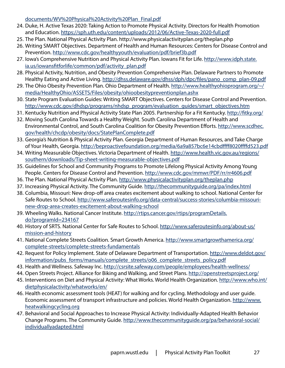[documents/WV%20Physical%20Activity%20Plan\\_Final.pdf](http://wvphysicalactivity.org/documents/WV%20Physical%20Activity%20Plan_Final.pdf)

- 24. Duke, H. Active Texas 2020: Taking Action to Promote Physical Activity. Directors for Health Promotion and Education.<https://sph.uth.edu/content/uploads/2012/06/Active-Texas-2020-full.pdf>
- 25. The Plan. National Physical Activity Plan.<http://www.physicalactivityplan.org/theplan.php>
- 26. Writing SMART Objectives. Department of Health and Human Resources: Centers for Disease Control and Prevention.<http://www.cdc.gov/healthyyouth/evaluation/pdf/brief3b.pdf>
- 27. Iowa's Comprehensive Nutrition and Physical Activity Plan. Iowans Fit for Life. [http://www.idph.state.](http://www.idph.state.ia.us/iowansfitforlife/common/pdf/activity_plan.pdf) [ia.us/iowansfitforlife/common/pdf/activity\\_plan.pdf](http://www.idph.state.ia.us/iowansfitforlife/common/pdf/activity_plan.pdf)
- 28. Physical Activity, Nutrition, and Obesity Prevention Comprehensive Plan. Delaware Partners to Promote Healthy Eating and Active Living. [http://dhss.delaware.gov/dhss/dph/dpc/files/pano\\_comp\\_plan-09.pdf](http://dhss.delaware.gov/dhss/dph/dpc/files/pano_comp_plan-09.pdf)
- 29. The Ohio Obesity Prevention Plan. Ohio Department of Health. [http://www.healthyohioprogram.org/~/](http://www.healthyohioprogram.org/~/media/HealthyOhio/ASSETS/Files/obesity/ohioobesitypreventionplan.ashx) [media/HealthyOhio/ASSETS/Files/obesity/ohioobesitypreventionplan.ashx](http://www.healthyohioprogram.org/~/media/HealthyOhio/ASSETS/Files/obesity/ohioobesitypreventionplan.ashx)
- 30. State Program Evaluation Guides: Writing SMART Objectives. Centers for Disease Control and Prevention. [http://www.cdc.gov/dhdsp/programs/nhdsp\\_program/evaluation\\_guides/smart\\_objectives.htm](http://www.cdc.gov/dhdsp/programs/nhdsp_program/evaluation_guides/smart_objectives.htm)
- 31. Kentucky Nutrition and Physical Activity State Plan 2005. Partnership for a Fit Kentucky.<http://fitky.org/>
- 32. Moving South Carolina Towards a Healthy Weight. South Carolina Department of Health and Environmental Control, and South Carolina Coalition for Obesity Prevention Efforts. [http://www.scdhec.](http://www.scdhec.gov/health/chcdp/obesity/docs/StatePlanComplete.pdf) [gov/health/chcdp/obesity/docs/StatePlanComplete.pdf](http://www.scdhec.gov/health/chcdp/obesity/docs/StatePlanComplete.pdf)
- 33. Georgia's Nutrition & Physical Activity Plan. Georgia Department of Human Resources, and Take Charge of Your Health, Georgia. <http://beproactivefoundation.org/media/6a9a857bc6e14cbdffff8020ffffd523.pdf>
- 34. Writing Measurable Objectives. Victoria Department of Health. [http://www.health.vic.gov.au/regions/](http://www.health.vic.gov.au/regions/southern/downloads/Tip-sheet-writing-measurable-objectives.pdf) [southern/downloads/Tip-sheet-writing-measurable-objectives.pdf](http://www.health.vic.gov.au/regions/southern/downloads/Tip-sheet-writing-measurable-objectives.pdf)
- 35. Guidelines for School and Community Programs to Promote Lifelong Physical Activity Among Young People. Centers for Disease Control and Prevention. <http://www.cdc.gov/mmwr/PDF/rr/rr4606.pdf>
- 36. The Plan. National Physical Activity Plan.<http://www.physicalactivityplan.org/theplan.php>
- 37. Increasing Physical Activity. The Community Guide.<http://thecommunityguide.org/pa/index.html>
- 38. Columbia, Missouri: New drop-off area creates excitement about walking to school. National Center for Safe Routes to School. [http://www.saferoutesinfo.org/data-central/success-stories/columbia-missouri](http://www.saferoutesinfo.org/data-central/success-stories/columbia-missouri-new-drop-area-creates-excitement-about-walking-school)[new-drop-area-creates-excitement-about-walking-school](http://www.saferoutesinfo.org/data-central/success-stories/columbia-missouri-new-drop-area-creates-excitement-about-walking-school)
- 39. Wheeling Walks. National Cancer Institute. [http://rtips.cancer.gov/rtips/programDetails.](http://rtips.cancer.gov/rtips/programDetails.do?programId=234167) [do?programId=234167](http://rtips.cancer.gov/rtips/programDetails.do?programId=234167)
- 40. History of SRTS. National Center for Safe Routes to School. [http://www.saferoutesinfo.org/about-us/](http://www.saferoutesinfo.org/about-us/mission-and-history) [mission-and-history](http://www.saferoutesinfo.org/about-us/mission-and-history)
- 41. National Complete Streets Coalition. Smart Growth America. [http://www.smartgrowthamerica.org/](http://www.smartgrowthamerica.org/complete-streets/complete-streets-fundamentals) [complete-streets/complete-streets-fundamentals](http://www.smartgrowthamerica.org/complete-streets/complete-streets-fundamentals)
- 42. Request for Policy Implement. State of Delaware Department of Transportation. [http://www.deldot.gov/](http://www.deldot.gov/information/pubs_forms/manuals/complete_streets/o06_complete_streets_policy.pdf) [information/pubs\\_forms/manuals/complete\\_streets/o06\\_complete\\_streets\\_policy.pdf](http://www.deldot.gov/information/pubs_forms/manuals/complete_streets/o06_complete_streets_policy.pdf)
- 43. Health and Wellness. Safeway Inc.<http://csrsite.safeway.com/people/employees/health-wellness/>
- 44. Open Streets Project. Alliance for Biking and Walking, and Street Plans.<http://openstreetsproject.org/>
- 45. Interventions on Diet and Physical Activity: What Works. World Health Organization. [http://www.who.int/](http://www.who.int/dietphysicalactivity/whatworks/en/) [dietphysicalactivity/whatworks/en/](http://www.who.int/dietphysicalactivity/whatworks/en/)
- 46. Health economic assessment tools (HEAT) for walking and for cycling. Methodology and user guide. Economic assessment of transport infrastructure and policies. World Health Organization. [http://www.](http://www.heatwalkingcycling.org) [heatwalkingcycling.org](http://www.heatwalkingcycling.org)
- 47. Behavioral and Social Approaches to Increase Physical Activity: Individually-Adapted Health Behavior Change Programs. The Community Guide. [http://www.thecommunityguide.org/pa/behavioral-social/](http://www.thecommunityguide.org/pa/behavioral-social/individuallyadapted.html) [individuallyadapted.html](http://www.thecommunityguide.org/pa/behavioral-social/individuallyadapted.html
)